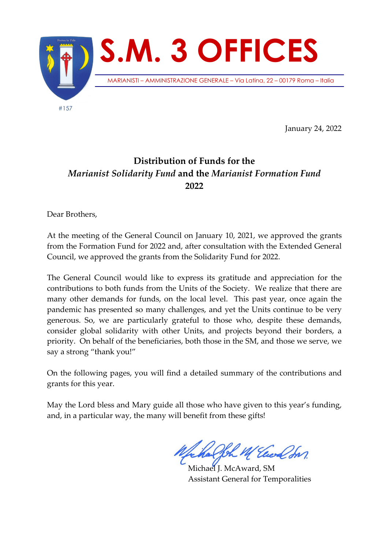

January 24, 2022

## **Distribution of Funds for the**  *Marianist Solidarity Fund* **and the** *Marianist Formation Fund* **2022**

Dear Brothers,

At the meeting of the General Council on January 10, 2021, we approved the grants from the Formation Fund for 2022 and, after consultation with the Extended General Council, we approved the grants from the Solidarity Fund for 2022.

The General Council would like to express its gratitude and appreciation for the contributions to both funds from the Units of the Society. We realize that there are many other demands for funds, on the local level. This past year, once again the pandemic has presented so many challenges, and yet the Units continue to be very generous. So, we are particularly grateful to those who, despite these demands, consider global solidarity with other Units, and projects beyond their borders, a priority. On behalf of the beneficiaries, both those in the SM, and those we serve, we say a strong "thank you!"

On the following pages, you will find a detailed summary of the contributions and grants for this year.

May the Lord bless and Mary guide all those who have given to this year's funding, and, in a particular way, the many will benefit from these gifts!

Elect for

Michael J. McAward, SM Assistant General for Temporalities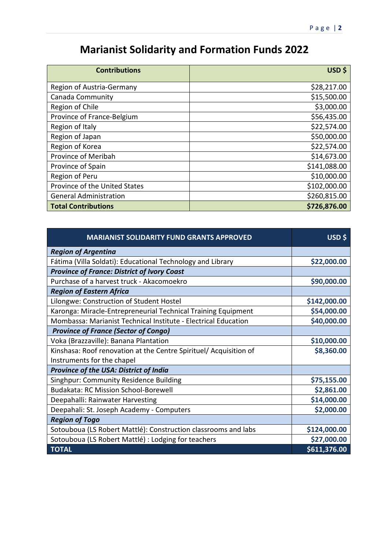## **Marianist Solidarity and Formation Funds 2022**

| <b>Contributions</b>          | USD \$       |
|-------------------------------|--------------|
| Region of Austria-Germany     | \$28,217.00  |
| Canada Community              | \$15,500.00  |
| Region of Chile               | \$3,000.00   |
| Province of France-Belgium    | \$56,435.00  |
| Region of Italy               | \$22,574.00  |
| Region of Japan               | \$50,000.00  |
| Region of Korea               | \$22,574.00  |
| Province of Meribah           | \$14,673.00  |
| Province of Spain             | \$141,088.00 |
| Region of Peru                | \$10,000.00  |
| Province of the United States | \$102,000.00 |
| <b>General Administration</b> | \$260,815.00 |
| <b>Total Contributions</b>    | \$726,876.00 |

| <b>MARIANIST SOLIDARITY FUND GRANTS APPROVED</b>                  | USD \$       |
|-------------------------------------------------------------------|--------------|
| <b>Region of Argentina</b>                                        |              |
| Fátima (Villa Soldati): Educational Technology and Library        | \$22,000.00  |
| <b>Province of France: District of Ivory Coast</b>                |              |
| Purchase of a harvest truck - Akacomoekro                         | \$90,000.00  |
| <b>Region of Eastern Africa</b>                                   |              |
| Lilongwe: Construction of Student Hostel                          | \$142,000.00 |
| Karonga: Miracle-Entrepreneurial Technical Training Equipment     | \$54,000.00  |
| Mombassa: Marianist Technical Institute - Electrical Education    | \$40,000.00  |
| <b>Province of France (Sector of Congo)</b>                       |              |
| Voka (Brazzaville): Banana Plantation                             | \$10,000.00  |
| Kinshasa: Roof renovation at the Centre Spirituel/ Acquisition of | \$8,360.00   |
| Instruments for the chapel                                        |              |
| <b>Province of the USA: District of India</b>                     |              |
| Singhpur: Community Residence Building                            | \$75,155.00  |
| <b>Budakata: RC Mission School-Borewell</b>                       | \$2,861.00   |
| Deepahalli: Rainwater Harvesting                                  | \$14,000.00  |
| Deepahali: St. Joseph Academy - Computers                         | \$2,000.00   |
| <b>Region of Togo</b>                                             |              |
| Sotouboua (LS Robert Mattlé): Construction classrooms and labs    | \$124,000.00 |
| Sotouboua (LS Robert Mattlé) : Lodging for teachers               | \$27,000.00  |
| <b>TOTAL</b>                                                      | \$611,376.00 |